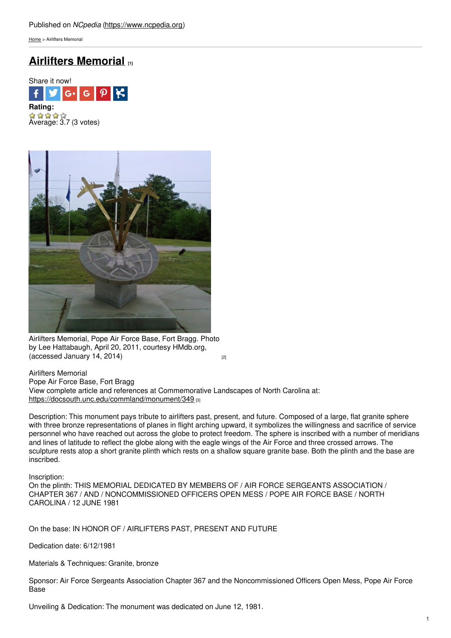[Home](https://www.ncpedia.org/) > Airlifters Memorial

## **Airlifters [Memorial](https://www.ncpedia.org/monument/airlifters-memorial) [1]**



 $\hat{A}$   $\hat{A}$   $\hat{B}$   $\hat{C}$ <br>Average: 3.7 (3 votes)



Airlifters Memorial, Pope Air Force Base, Fort Bragg. Photo by Lee Hattabaugh, April 20, 2011, courtesy HMdb.org,  $(accessed January 14, 2014)$  $(accessed January 14, 2014)$  [2]

Airlifters Memorial Pope Air Force Base, Fort Bragg View complete article and references at Commemorative Landscapes of North Carolina at: <https://docsouth.unc.edu/commland/monument/349> [3]

Description: This monument pays tribute to airlifters past, present, and future. Composed of a large, flat granite sphere with three bronze representations of planes in flight arching upward, it symbolizes the willingness and sacrifice of service personnel who have reached out across the globe to protect freedom. The sphere is inscribed with a number of meridians and lines of latitude to reflect the globe along with the eagle wings of the Air Force and three crossed arrows. The sculpture rests atop a short granite plinth which rests on a shallow square granite base. Both the plinth and the base are inscribed.

Inscription:

On the plinth: THIS MEMORIAL DEDICATED BY MEMBERS OF / AIR FORCE SERGEANTS ASSOCIATION / CHAPTER 367 / AND / NONCOMMISSIONED OFFICERS OPEN MESS / POPE AIR FORCE BASE / NORTH CAROLINA / 12 JUNE 1981

On the base: IN HONOR OF / AIRLIFTERS PAST, PRESENT AND FUTURE

Dedication date: 6/12/1981

Materials & Techniques: Granite, bronze

Sponsor: Air Force Sergeants Association Chapter 367 and the Noncommissioned Officers Open Mess, Pope Air Force Base

Unveiling & Dedication: The monument was dedicated on June 12, 1981.